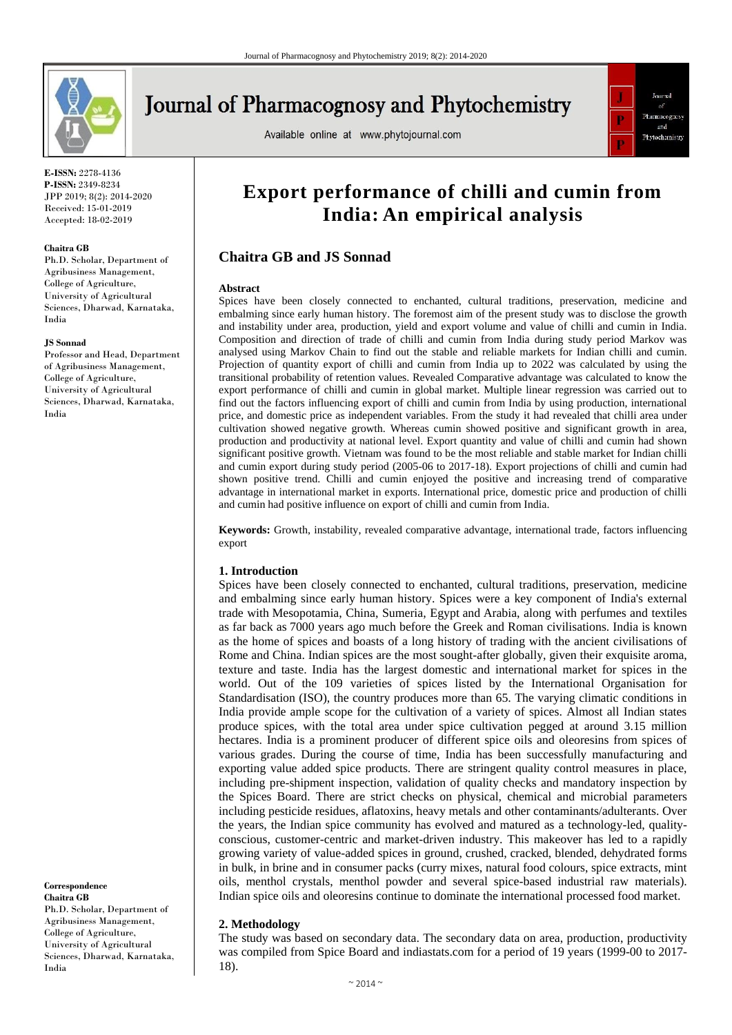

# **Journal of Pharmacognosy and Phytochemistry**

Available online at www.phytojournal.com



**E-ISSN:** 2278-4136 **P-ISSN:** 2349-8234 JPP 2019; 8(2): 2014-2020 Received: 15-01-2019 Accepted: 18-02-2019

#### **Chaitra GB**

Ph.D. Scholar, Department of Agribusiness Management, College of Agriculture, University of Agricultural Sciences, Dharwad, Karnataka, India

#### **JS Sonnad**

Professor and Head, Department of Agribusiness Management, College of Agriculture, University of Agricultural Sciences, Dharwad, Karnataka, India

**Correspondence Chaitra GB** Ph.D. Scholar, Department of Agribusiness Management, College of Agriculture, University of Agricultural Sciences, Dharwad, Karnataka, India

# **Export performance of chilli and cumin from India: An empirical analysis**

# **Chaitra GB and JS Sonnad**

#### **Abstract**

Spices have been closely connected to enchanted, cultural traditions, preservation, medicine and embalming since early human history. The foremost aim of the present study was to disclose the growth and instability under area, production, yield and export volume and value of chilli and cumin in India. Composition and direction of trade of chilli and cumin from India during study period Markov was analysed using Markov Chain to find out the stable and reliable markets for Indian chilli and cumin. Projection of quantity export of chilli and cumin from India up to 2022 was calculated by using the transitional probability of retention values. Revealed Comparative advantage was calculated to know the export performance of chilli and cumin in global market. Multiple linear regression was carried out to find out the factors influencing export of chilli and cumin from India by using production, international price, and domestic price as independent variables. From the study it had revealed that chilli area under cultivation showed negative growth. Whereas cumin showed positive and significant growth in area, production and productivity at national level. Export quantity and value of chilli and cumin had shown significant positive growth. Vietnam was found to be the most reliable and stable market for Indian chilli and cumin export during study period (2005-06 to 2017-18). Export projections of chilli and cumin had shown positive trend. Chilli and cumin enjoyed the positive and increasing trend of comparative advantage in international market in exports. International price, domestic price and production of chilli and cumin had positive influence on export of chilli and cumin from India.

**Keywords:** Growth, instability, revealed comparative advantage, international trade, factors influencing export

## **1. Introduction**

Spices have been closely connected to enchanted, cultural traditions, preservation, medicine and embalming since early human history. Spices were a key component of India's external trade with Mesopotamia, China, Sumeria, Egypt and Arabia, along with perfumes and textiles as far back as 7000 years ago much before the Greek and Roman civilisations. India is known as the home of spices and boasts of a long history of trading with the ancient civilisations of Rome and China. Indian spices are the most sought-after globally, given their exquisite aroma, texture and taste. India has the largest domestic and international market for spices in the world. Out of the 109 varieties of spices listed by the International Organisation for Standardisation (ISO), the country produces more than 65. The varying climatic conditions in India provide ample scope for the cultivation of a variety of spices. Almost all Indian states produce spices, with the total area under spice cultivation pegged at around 3.15 million hectares. India is a prominent producer of different spice oils and oleoresins from spices of various grades. During the course of time, India has been successfully manufacturing and exporting value added spice products. There are stringent quality control measures in place, including pre-shipment inspection, validation of quality checks and mandatory inspection by the Spices Board. There are strict checks on physical, chemical and microbial parameters including pesticide residues, aflatoxins, heavy metals and other contaminants/adulterants. Over the years, the Indian spice community has evolved and matured as a technology-led, qualityconscious, customer-centric and market-driven industry. This makeover has led to a rapidly growing variety of value-added spices in ground, crushed, cracked, blended, dehydrated forms in bulk, in brine and in consumer packs (curry mixes, natural food colours, spice extracts, mint oils, menthol crystals, menthol powder and several spice-based industrial raw materials). Indian spice oils and oleoresins continue to dominate the international processed food market.

## **2. Methodology**

The study was based on secondary data. The secondary data on area, production, productivity was compiled from Spice Board and indiastats.com for a period of 19 years (1999-00 to 2017- 18).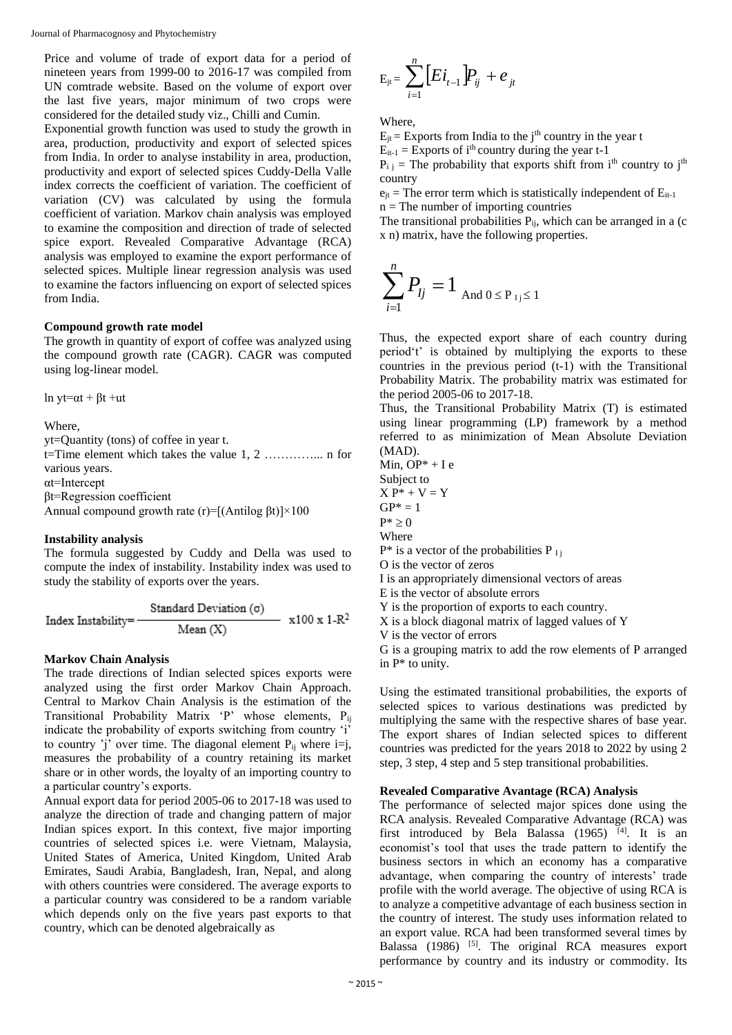Journal of Pharmacognosy and Phytochemistry

Price and volume of trade of export data for a period of nineteen years from 1999-00 to 2016-17 was compiled from UN comtrade website. Based on the volume of export over the last five years, major minimum of two crops were considered for the detailed study viz., Chilli and Cumin.

Exponential growth function was used to study the growth in area, production, productivity and export of selected spices from India. In order to analyse instability in area, production, productivity and export of selected spices Cuddy-Della Valle index corrects the coefficient of variation. The coefficient of variation (CV) was calculated by using the formula coefficient of variation. Markov chain analysis was employed to examine the composition and direction of trade of selected spice export. Revealed Comparative Advantage (RCA) analysis was employed to examine the export performance of selected spices. Multiple linear regression analysis was used to examine the factors influencing on export of selected spices from India.

# **Compound growth rate model**

The growth in quantity of export of coffee was analyzed using the compound growth rate (CAGR). CAGR was computed using log-linear model.

ln yt= $\alpha t + \beta t + ut$ 

Where,

yt=Quantity (tons) of coffee in year t.

t=Time element which takes the value 1, 2 …………... n for various years.

αt=Intercept

βt=Regression coefficient

Annual compound growth rate (r)=[(Antilog  $\beta t$ )]×100

# **Instability analysis**

The formula suggested by Cuddy and Della was used to compute the index of instability. Instability index was used to study the stability of exports over the years.

Standard Deviation (σ)  $x100 \times 1-R^2$ Index Instability=  $Mean(X)$ 

# **Markov Chain Analysis**

The trade directions of Indian selected spices exports were analyzed using the first order Markov Chain Approach. Central to Markov Chain Analysis is the estimation of the Transitional Probability Matrix 'P' whose elements, Pij indicate the probability of exports switching from country 'i' to country 'j' over time. The diagonal element  $P_{ii}$  where i=j, measures the probability of a country retaining its market share or in other words, the loyalty of an importing country to a particular country's exports.

Annual export data for period 2005-06 to 2017-18 was used to analyze the direction of trade and changing pattern of major Indian spices export. In this context, five major importing countries of selected spices i.e. were Vietnam, Malaysia, United States of America, United Kingdom, United Arab Emirates, Saudi Arabia, Bangladesh, Iran, Nepal, and along with others countries were considered. The average exports to a particular country was considered to be a random variable which depends only on the five years past exports to that country, which can be denoted algebraically as

$$
E_{jt} = \sum_{i=1}^{n} \Big[E i_{t-1} \Big] P_{ij} + e_{jt}
$$

Where,

 $E_{it}$  = Exports from India to the j<sup>th</sup> country in the year t  $E_{it-1}$  = Exports of i<sup>th</sup> country during the year t-1

 $P_{i,j}$  = The probability that exports shift from i<sup>th</sup> country to j<sup>th</sup> country

 $e_{it}$  = The error term which is statistically independent of  $E_{it-1}$  $n =$ The number of importing countries

The transitional probabilities  $P_{ii}$ , which can be arranged in a (c x n) matrix, have the following properties.

$$
\sum_{i=1}^{n} P_{lj} = 1_{\text{And } 0 \le P_{1j} \le 1}
$$

Thus, the expected export share of each country during period't' is obtained by multiplying the exports to these countries in the previous period (t-1) with the Transitional Probability Matrix. The probability matrix was estimated for the period 2005-06 to 2017-18.

Thus, the Transitional Probability Matrix (T) is estimated using linear programming (LP) framework by a method referred to as minimization of Mean Absolute Deviation (MAD).

Min,  $OP^* + Ie$ Subject to  $X P^* + V = Y$  $GP^* = 1$  $P^* \geq 0$ Where  $P^*$  is a vector of the probabilities P<sub>Ii</sub> O is the vector of zeros I is an appropriately dimensional vectors of areas E is the vector of absolute errors Y is the proportion of exports to each country. X is a block diagonal matrix of lagged values of Y V is the vector of errors G is a grouping matrix to add the row elements of P arranged in P\* to unity.

Using the estimated transitional probabilities, the exports of selected spices to various destinations was predicted by multiplying the same with the respective shares of base year. The export shares of Indian selected spices to different countries was predicted for the years 2018 to 2022 by using 2 step, 3 step, 4 step and 5 step transitional probabilities.

# **Revealed Comparative Avantage (RCA) Analysis**

The performance of selected major spices done using the RCA analysis. Revealed Comparative Advantage (RCA) was first introduced by Bela Balassa (1965)<sup>[4]</sup>. It is an economist's tool that uses the trade pattern to identify the business sectors in which an economy has a comparative advantage, when comparing the country of interests' trade profile with the world average. The objective of using RCA is to analyze a competitive advantage of each business section in the country of interest. The study uses information related to an export value. RCA had been transformed several times by Balassa (1986) <sup>[5]</sup>. The original RCA measures export performance by country and its industry or commodity. Its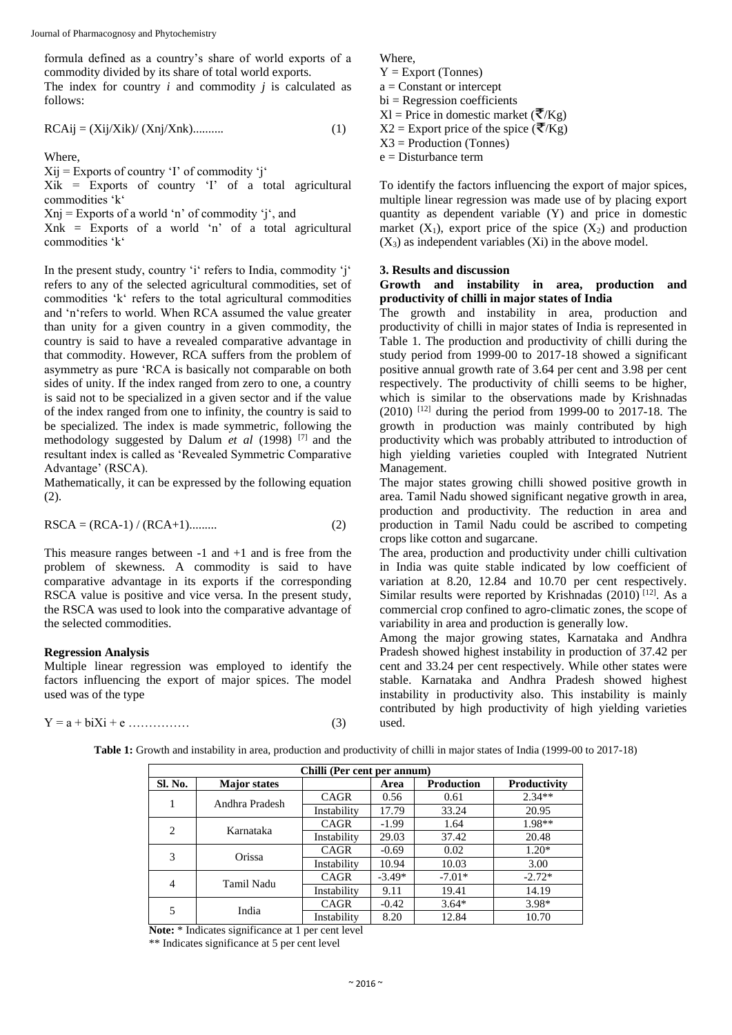formula defined as a country's share of world exports of a commodity divided by its share of total world exports. The index for country *i* and commodity *j* is calculated as follows:

$$
RCAij = (Xij/Xik) / (Xnj/Xnk) \dots \dots \dots \tag{1}
$$

Where,

 $Xii$  = Exports of country 'I' of commodity 'i'

 $Xik =$  Exports of country 'I' of a total agricultural commodities 'k'

 $Xni = Exports of a world 'n' of commoditv 'i'. and$ 

 $Xnk =$  Exports of a world 'n' of a total agricultural commodities 'k'

In the present study, country 'i' refers to India, commodity 'j' refers to any of the selected agricultural commodities, set of commodities 'k' refers to the total agricultural commodities and 'n'refers to world. When RCA assumed the value greater than unity for a given country in a given commodity, the country is said to have a revealed comparative advantage in that commodity. However, RCA suffers from the problem of asymmetry as pure 'RCA is basically not comparable on both sides of unity. If the index ranged from zero to one, a country is said not to be specialized in a given sector and if the value of the index ranged from one to infinity, the country is said to be specialized. The index is made symmetric, following the methodology suggested by Dalum *et al* (1998) [7] and the resultant index is called as 'Revealed Symmetric Comparative Advantage' (RSCA).

Mathematically, it can be expressed by the following equation (2).

$$
RSCA = (RCA-1) / (RCA+1) \dots (2)
$$

This measure ranges between  $-1$  and  $+1$  and is free from the problem of skewness. A commodity is said to have comparative advantage in its exports if the corresponding RSCA value is positive and vice versa. In the present study, the RSCA was used to look into the comparative advantage of the selected commodities.

#### **Regression Analysis**

Multiple linear regression was employed to identify the factors influencing the export of major spices. The model used was of the type

$$
Y = a + biXi + e \dots \dots \dots \tag{3}
$$

Where,

 $Y =$  Export (Tonnes)  $a =$ Constant or intercept  $bi = Regression coefficients$  $Xl$  = Price in domestic market ( $\overline{\mathcal{K}}/Kg$ )  $X2 =$  Export price of the spice ( $\overline{\mathcal{K}}/Kg$ )  $X3 =$  Production (Tonnes)

e = Disturbance term

To identify the factors influencing the export of major spices, multiple linear regression was made use of by placing export quantity as dependent variable (Y) and price in domestic market  $(X_1)$ , export price of the spice  $(X_2)$  and production  $(X_3)$  as independent variables  $(X_i)$  in the above model.

#### **3. Results and discussion**

## **Growth and instability in area, production and productivity of chilli in major states of India**

The growth and instability in area, production and productivity of chilli in major states of India is represented in Table 1. The production and productivity of chilli during the study period from 1999-00 to 2017-18 showed a significant positive annual growth rate of 3.64 per cent and 3.98 per cent respectively. The productivity of chilli seems to be higher, which is similar to the observations made by Krishnadas (2010) [12] during the period from 1999-00 to 2017-18. The growth in production was mainly contributed by high productivity which was probably attributed to introduction of high yielding varieties coupled with Integrated Nutrient Management.

The major states growing chilli showed positive growth in area. Tamil Nadu showed significant negative growth in area, production and productivity. The reduction in area and production in Tamil Nadu could be ascribed to competing crops like cotton and sugarcane.

The area, production and productivity under chilli cultivation in India was quite stable indicated by low coefficient of variation at 8.20, 12.84 and 10.70 per cent respectively. Similar results were reported by Krishnadas (2010)<sup>[12]</sup>. As a commercial crop confined to agro-climatic zones, the scope of variability in area and production is generally low.

Among the major growing states, Karnataka and Andhra Pradesh showed highest instability in production of 37.42 per cent and 33.24 per cent respectively. While other states were stable. Karnataka and Andhra Pradesh showed highest instability in productivity also. This instability is mainly contributed by high productivity of high yielding varieties used.

|         | Chilli (Per cent per annum) |             |          |                   |              |  |  |  |  |  |  |
|---------|-----------------------------|-------------|----------|-------------------|--------------|--|--|--|--|--|--|
| Sl. No. | <b>Major</b> states         |             | Area     | <b>Production</b> | Productivity |  |  |  |  |  |  |
|         | Andhra Pradesh              | <b>CAGR</b> | 0.56     | 0.61              | $2.34**$     |  |  |  |  |  |  |
|         |                             | Instability | 17.79    | 33.24             | 20.95        |  |  |  |  |  |  |
| 2       | Karnataka                   | <b>CAGR</b> | $-1.99$  | 1.64              | 1.98**       |  |  |  |  |  |  |
|         |                             | Instability | 29.03    | 37.42             | 20.48        |  |  |  |  |  |  |
| 3       | Orissa                      | <b>CAGR</b> | $-0.69$  | 0.02              | $1.20*$      |  |  |  |  |  |  |
|         |                             | Instability | 10.94    | 10.03             | 3.00         |  |  |  |  |  |  |
| 4       | Tamil Nadu                  | <b>CAGR</b> | $-3.49*$ | $-7.01*$          | $-2.72*$     |  |  |  |  |  |  |
|         |                             | Instability | 9.11     | 19.41             | 14.19        |  |  |  |  |  |  |
|         | India                       | CAGR        | $-0.42$  | $3.64*$           | 3.98*        |  |  |  |  |  |  |
| 5       |                             | Instability | 8.20     | 12.84             | 10.70        |  |  |  |  |  |  |

**Table 1:** Growth and instability in area, production and productivity of chilli in major states of India (1999-00 to 2017-18)

**Note:** \* Indicates significance at 1 per cent level \*\* Indicates significance at 5 per cent level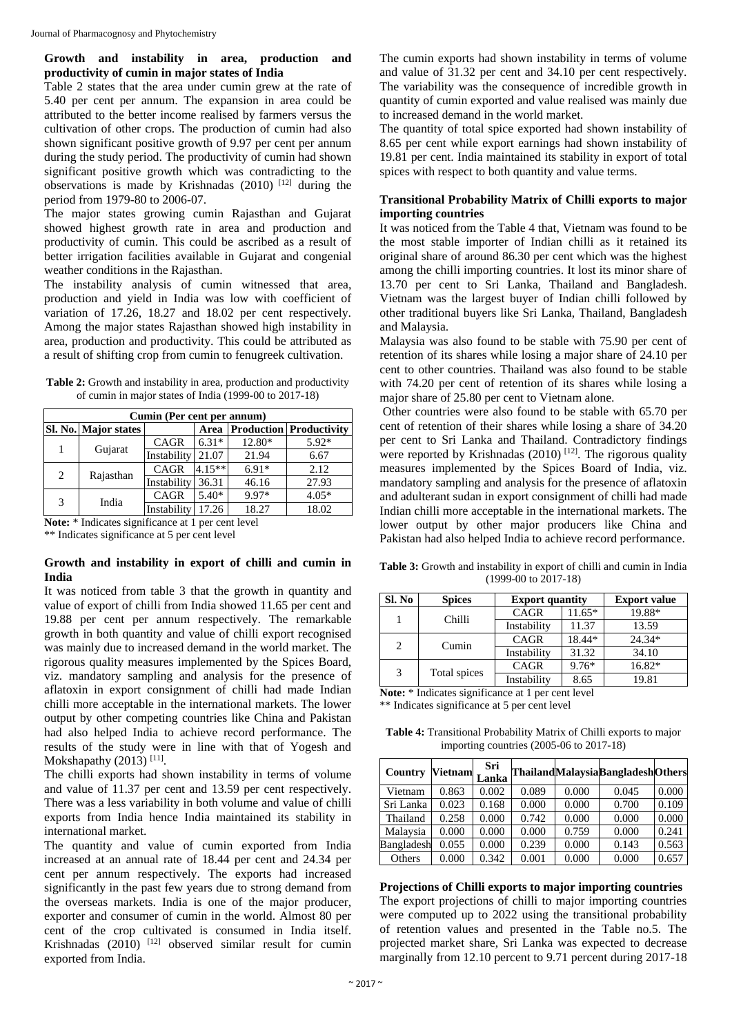# **Growth and instability in area, production and productivity of cumin in major states of India**

Table 2 states that the area under cumin grew at the rate of 5.40 per cent per annum. The expansion in area could be attributed to the better income realised by farmers versus the cultivation of other crops. The production of cumin had also shown significant positive growth of 9.97 per cent per annum during the study period. The productivity of cumin had shown significant positive growth which was contradicting to the observations is made by Krishnadas (2010) [12] during the period from 1979-80 to 2006-07.

The major states growing cumin Rajasthan and Gujarat showed highest growth rate in area and production and productivity of cumin. This could be ascribed as a result of better irrigation facilities available in Gujarat and congenial weather conditions in the Rajasthan.

The instability analysis of cumin witnessed that area, production and yield in India was low with coefficient of variation of 17.26, 18.27 and 18.02 per cent respectively. Among the major states Rajasthan showed high instability in area, production and productivity. This could be attributed as a result of shifting crop from cumin to fenugreek cultivation.

| <b>Table 2:</b> Growth and instability in area, production and productivity |
|-----------------------------------------------------------------------------|
| of cumin in major states of India (1999-00 to 2017-18)                      |

|   | Cumin (Per cent per annum) |             |          |         |                                |  |  |  |  |  |  |
|---|----------------------------|-------------|----------|---------|--------------------------------|--|--|--|--|--|--|
|   | Sl. No. Major states       |             | Area     |         | <b>Production Productivity</b> |  |  |  |  |  |  |
|   |                            | <b>CAGR</b> | $6.31*$  | 12.80*  | 5.92*                          |  |  |  |  |  |  |
|   | Gujarat                    | Instability | 21.07    | 21.94   | 6.67                           |  |  |  |  |  |  |
| 2 |                            | CAGR        | $4.15**$ | $6.91*$ | 2.12                           |  |  |  |  |  |  |
|   | Rajasthan                  | Instability | 36.31    | 46.16   | 27.93                          |  |  |  |  |  |  |
| 3 |                            | <b>CAGR</b> | $5.40*$  | 9.97*   | $4.05*$                        |  |  |  |  |  |  |
|   | India                      | Instability | 17.26    | 18.27   | 18.02                          |  |  |  |  |  |  |

**Note:** \* Indicates significance at 1 per cent level

\*\* Indicates significance at 5 per cent level

# **Growth and instability in export of chilli and cumin in India**

It was noticed from table 3 that the growth in quantity and value of export of chilli from India showed 11.65 per cent and 19.88 per cent per annum respectively. The remarkable growth in both quantity and value of chilli export recognised was mainly due to increased demand in the world market. The rigorous quality measures implemented by the Spices Board, viz. mandatory sampling and analysis for the presence of aflatoxin in export consignment of chilli had made Indian chilli more acceptable in the international markets. The lower output by other competing countries like China and Pakistan had also helped India to achieve record performance. The results of the study were in line with that of Yogesh and Mokshapathy  $(2013)$ <sup>[11]</sup>.

The chilli exports had shown instability in terms of volume and value of 11.37 per cent and 13.59 per cent respectively. There was a less variability in both volume and value of chilli exports from India hence India maintained its stability in international market.

The quantity and value of cumin exported from India increased at an annual rate of 18.44 per cent and 24.34 per cent per annum respectively. The exports had increased significantly in the past few years due to strong demand from the overseas markets. India is one of the major producer, exporter and consumer of cumin in the world. Almost 80 per cent of the crop cultivated is consumed in India itself. Krishnadas (2010) <sup>[12]</sup> observed similar result for cumin exported from India.

The cumin exports had shown instability in terms of volume and value of 31.32 per cent and 34.10 per cent respectively. The variability was the consequence of incredible growth in quantity of cumin exported and value realised was mainly due to increased demand in the world market.

The quantity of total spice exported had shown instability of 8.65 per cent while export earnings had shown instability of 19.81 per cent. India maintained its stability in export of total spices with respect to both quantity and value terms.

# **Transitional Probability Matrix of Chilli exports to major importing countries**

It was noticed from the Table 4 that, Vietnam was found to be the most stable importer of Indian chilli as it retained its original share of around 86.30 per cent which was the highest among the chilli importing countries. It lost its minor share of 13.70 per cent to Sri Lanka, Thailand and Bangladesh. Vietnam was the largest buyer of Indian chilli followed by other traditional buyers like Sri Lanka, Thailand, Bangladesh and Malaysia.

Malaysia was also found to be stable with 75.90 per cent of retention of its shares while losing a major share of 24.10 per cent to other countries. Thailand was also found to be stable with 74.20 per cent of retention of its shares while losing a major share of 25.80 per cent to Vietnam alone.

Other countries were also found to be stable with 65.70 per cent of retention of their shares while losing a share of 34.20 per cent to Sri Lanka and Thailand. Contradictory findings were reported by Krishnadas (2010)<sup>[12]</sup>. The rigorous quality measures implemented by the Spices Board of India, viz. mandatory sampling and analysis for the presence of aflatoxin and adulterant sudan in export consignment of chilli had made Indian chilli more acceptable in the international markets. The lower output by other major producers like China and Pakistan had also helped India to achieve record performance.

**Table 3:** Growth and instability in export of chilli and cumin in India (1999-00 to 2017-18)

| Sl. No         | <b>Spices</b> | <b>Export quantity</b> | <b>Export value</b> |        |
|----------------|---------------|------------------------|---------------------|--------|
|                | Chilli        | <b>CAGR</b>            | $11.65*$            | 19.88* |
|                |               | Instability            | 11.37               | 13.59  |
| $\overline{c}$ | <b>CAGR</b>   | 18.44*                 | $24.34*$            |        |
|                | Cumin         | Instability            | 31.32               | 34.10  |
| 3              |               | <b>CAGR</b>            | $9.76*$             | 16.82* |
|                | Total spices  | Instability            | 8.65                | 19.81  |

**Note:** \* Indicates significance at 1 per cent level \*\* Indicates significance at 5 per cent level

**Table 4:** Transitional Probability Matrix of Chilli exports to major importing countries (2005-06 to 2017-18)

| Country    | <b>Vietnam</b> | Sri<br>Lanka |       |       | ThailandMalaysiaBangladeshOthers |       |
|------------|----------------|--------------|-------|-------|----------------------------------|-------|
| Vietnam    | 0.863          | 0.002        | 0.089 | 0.000 | 0.045                            | 0.000 |
| Sri Lanka  | 0.023          | 0.168        | 0.000 | 0.000 | 0.700                            | 0.109 |
| Thailand   | 0.258          | 0.000        | 0.742 | 0.000 | 0.000                            | 0.000 |
| Malaysia   | 0.000          | 0.000        | 0.000 | 0.759 | 0.000                            | 0.241 |
| Bangladesh | 0.055          | 0.000        | 0.239 | 0.000 | 0.143                            | 0.563 |
| Others     | 0.000          | 0.342        | 0.001 | 0.000 | 0.000                            | 0.657 |

**Projections of Chilli exports to major importing countries**

The export projections of chilli to major importing countries were computed up to 2022 using the transitional probability of retention values and presented in the Table no.5. The projected market share, Sri Lanka was expected to decrease marginally from 12.10 percent to 9.71 percent during 2017-18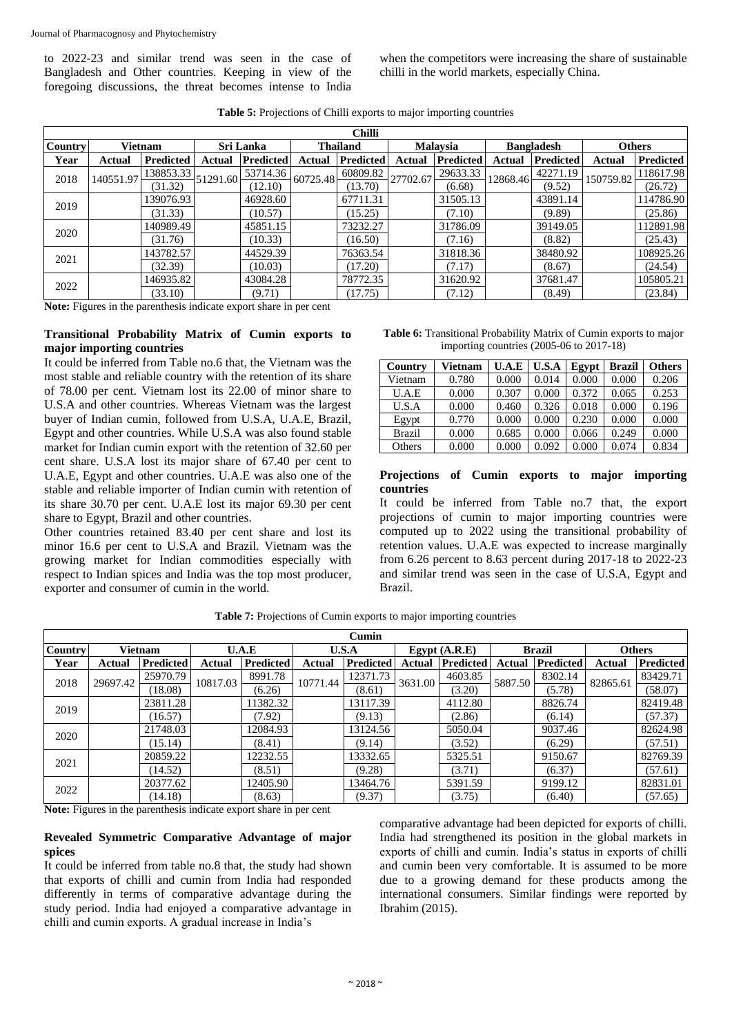to 2022-23 and similar trend was seen in the case of Bangladesh and Other countries. Keeping in view of the foregoing discussions, the threat becomes intense to India

when the competitors were increasing the share of sustainable chilli in the world markets, especially China.

|         | <b>Chilli</b> |                  |          |                  |          |                  |          |                  |          |                   |               |                  |  |
|---------|---------------|------------------|----------|------------------|----------|------------------|----------|------------------|----------|-------------------|---------------|------------------|--|
| Country |               | Vietnam          |          | Sri Lanka        |          | <b>Thailand</b>  |          | <b>Malaysia</b>  |          | <b>Bangladesh</b> | <b>Others</b> |                  |  |
| Year    | Actual        | <b>Predicted</b> | Actual   | <b>Predicted</b> | Actual   | <b>Predicted</b> | Actual   | <b>Predicted</b> | Actual   | <b>Predicted</b>  | Actual        | <b>Predicted</b> |  |
| 2018    | 140551.97     | 138853.33        | 51291.60 | 53714.36         | 60725.48 | 60809.82         | 27702.67 | 29633.33         | 12868.46 | 42271.19          | 150759.82     | 118617.98        |  |
|         |               | (31.32)          |          | (12.10)          |          | (13.70)          |          | (6.68)           |          | (9.52)            |               | (26.72)          |  |
| 2019    |               | 139076.93        |          | 46928.60         |          | 67711.31         |          | 31505.13         |          | 43891.14          |               | 114786.90        |  |
|         |               | (31.33)          |          | (10.57)          |          | (15.25)          |          | (7.10)           |          | (9.89)            |               | (25.86)          |  |
| 2020    |               | 140989.49        |          | 45851.15         |          | 73232.27         |          | 31786.09         |          | 39149.05          |               | 112891.98        |  |
|         |               | (31.76)          |          | (10.33)          |          | (16.50)          |          | (7.16)           |          | (8.82)            |               | (25.43)          |  |
| 2021    |               | 143782.57        |          | 44529.39         |          | 76363.54         |          | 31818.36         |          | 38480.92          |               | 108925.26        |  |
|         |               | (32.39)          |          | (10.03)          |          | (17.20)          |          | (7.17)           |          | (8.67)            |               | (24.54)          |  |
| 2022    |               | 146935.82        |          | 43084.28         |          | 78772.35         |          | 31620.92         |          | 37681.47          |               | 105805.21        |  |
|         |               | (33.10)          |          | (9.71)           |          | (17.75)          |          | (7.12)           |          | (8.49)            |               | (23.84)          |  |

**Table 5:** Projections of Chilli exports to major importing countries

**Note:** Figures in the parenthesis indicate export share in per cent

# **Transitional Probability Matrix of Cumin exports to major importing countries**

It could be inferred from Table no.6 that, the Vietnam was the most stable and reliable country with the retention of its share of 78.00 per cent. Vietnam lost its 22.00 of minor share to U.S.A and other countries. Whereas Vietnam was the largest buyer of Indian cumin, followed from U.S.A, U.A.E, Brazil, Egypt and other countries. While U.S.A was also found stable market for Indian cumin export with the retention of 32.60 per cent share. U.S.A lost its major share of 67.40 per cent to U.A.E, Egypt and other countries. U.A.E was also one of the stable and reliable importer of Indian cumin with retention of its share 30.70 per cent. U.A.E lost its major 69.30 per cent share to Egypt, Brazil and other countries.

Other countries retained 83.40 per cent share and lost its minor 16.6 per cent to U.S.A and Brazil. Vietnam was the growing market for Indian commodities especially with respect to Indian spices and India was the top most producer, exporter and consumer of cumin in the world.

| <b>Table 6:</b> Transitional Probability Matrix of Cumin exports to major |
|---------------------------------------------------------------------------|
| importing countries $(2005-06 \text{ to } 2017-18)$                       |

| Country       | <b>Vietnam</b> | U.A.E | U.S.A | Egypt | <b>Brazil</b> | <b>Others</b> |
|---------------|----------------|-------|-------|-------|---------------|---------------|
| Vietnam       | 0.780          | 0.000 | 0.014 | 0.000 | 0.000         | 0.206         |
| U.A.E         | 0.000          | 0.307 | 0.000 | 0.372 | 0.065         | 0.253         |
| U.S.A         | 0.000          | 0.460 | 0.326 | 0.018 | 0.000         | 0.196         |
| Egypt         | 0.770          | 0.000 | 0.000 | 0.230 | 0.000         | 0.000         |
| <b>Brazil</b> | 0.000          | 0.685 | 0.000 | 0.066 | 0.249         | 0.000         |
| Others        | 0.000          | 0.000 | 0.092 | 0.000 | 0.074         | 0.834         |

## **Projections of Cumin exports to major importing countries**

It could be inferred from Table no.7 that, the export projections of cumin to major importing countries were computed up to 2022 using the transitional probability of retention values. U.A.E was expected to increase marginally from 6.26 percent to 8.63 percent during 2017-18 to 2022-23 and similar trend was seen in the case of U.S.A, Egypt and Brazil.

|                | Cumin    |                  |          |           |          |                  |                 |           |               |                  |               |           |
|----------------|----------|------------------|----------|-----------|----------|------------------|-----------------|-----------|---------------|------------------|---------------|-----------|
| <b>Country</b> |          | Vietnam          |          | U.A.E     | U.S.A    |                  | Egypt $(A.R.E)$ |           | <b>Brazil</b> |                  | <b>Others</b> |           |
| Year           | Actual   | <b>Predicted</b> | Actual   | Predicted | Actual   | <b>Predicted</b> | Actual          | Predicted | Actual        | <b>Predicted</b> | Actual        | Predicted |
| 2018           | 29697.42 | 25970.79         | 10817.03 | 8991.78   | 10771.44 | 12371.73         | 3631.00         | 4603.85   | 5887.50       | 8302.14          | 82865.61      | 83429.71  |
|                |          | (18.08)          |          | (6.26)    |          | (8.61)           |                 | (3.20)    |               | (5.78)           |               | (58.07)   |
| 2019           |          | 23811.28         |          | 11382.32  |          | 13117.39         |                 | 4112.80   |               | 8826.74          |               | 82419.48  |
|                |          | (16.57)          |          | (7.92)    |          | (9.13)           |                 | (2.86)    |               | (6.14)           |               | (57.37)   |
| 2020           |          | 21748.03         |          | 12084.93  |          | 13124.56         |                 | 5050.04   |               | 9037.46          |               | 82624.98  |
|                |          | (15.14)          |          | (8.41)    |          | (9.14)           |                 | (3.52)    |               | (6.29)           |               | (57.51)   |
| 2021           |          | 20859.22         |          | 12232.55  |          | 13332.65         |                 | 5325.51   |               | 9150.67          |               | 82769.39  |
|                |          | (14.52)          |          | (8.51)    |          | (9.28)           |                 | (3.71)    |               | (6.37)           |               | (57.61)   |
| 2022           |          | 20377.62         |          | 12405.90  |          | 13464.76         |                 | 5391.59   |               | 9199.12          |               | 82831.01  |
|                |          | (14.18)          |          | (8.63)    |          | (9.37)           |                 | (3.75)    |               | (6.40)           |               | (57.65)   |

**Table 7:** Projections of Cumin exports to major importing countries

**Note:** Figures in the parenthesis indicate export share in per cent

## **Revealed Symmetric Comparative Advantage of major spices**

It could be inferred from table no.8 that, the study had shown that exports of chilli and cumin from India had responded differently in terms of comparative advantage during the study period. India had enjoyed a comparative advantage in chilli and cumin exports. A gradual increase in India's

comparative advantage had been depicted for exports of chilli. India had strengthened its position in the global markets in exports of chilli and cumin. India's status in exports of chilli and cumin been very comfortable. It is assumed to be more due to a growing demand for these products among the international consumers. Similar findings were reported by Ibrahim (2015).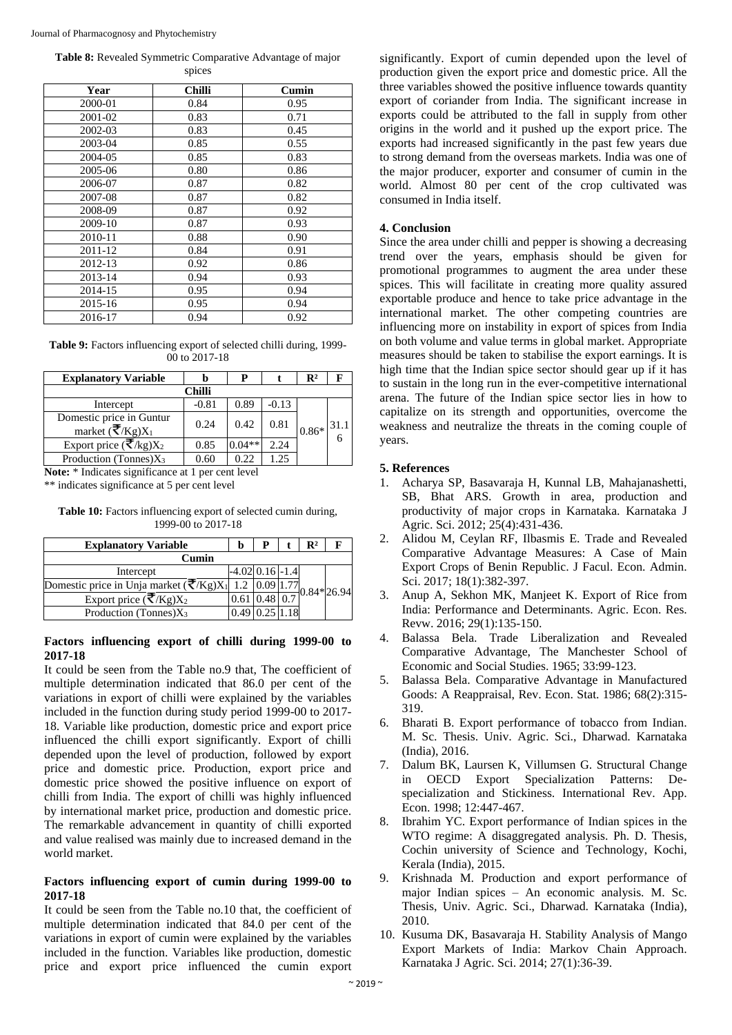**Table 8:** Revealed Symmetric Comparative Advantage of major spices

| Year    | <b>Chilli</b> | Cumin |
|---------|---------------|-------|
| 2000-01 | 0.84          | 0.95  |
| 2001-02 | 0.83          | 0.71  |
| 2002-03 | 0.83          | 0.45  |
| 2003-04 | 0.85          | 0.55  |
| 2004-05 | 0.85          | 0.83  |
| 2005-06 | 0.80          | 0.86  |
| 2006-07 | 0.87          | 0.82  |
| 2007-08 | 0.87          | 0.82  |
| 2008-09 | 0.87          | 0.92  |
| 2009-10 | 0.87          | 0.93  |
| 2010-11 | 0.88          | 0.90  |
| 2011-12 | 0.84          | 0.91  |
| 2012-13 | 0.92          | 0.86  |
| 2013-14 | 0.94          | 0.93  |
| 2014-15 | 0.95          | 0.94  |
| 2015-16 | 0.95          | 0.94  |
| 2016-17 | 0.94          | 0.92  |

**Table 9:** Factors influencing export of selected chilli during, 1999- 00 to 2017-18

| <b>Explanatory Variable</b>                                                        |         | Р        |         | $\mathbb{R}^2$ |      |
|------------------------------------------------------------------------------------|---------|----------|---------|----------------|------|
|                                                                                    | Chilli  |          |         |                |      |
| Intercept                                                                          | $-0.81$ | 0.89     | $-0.13$ |                |      |
| Domestic price in Guntur<br>market $(\overline{\nabla}/Kg)X_1$                     | 0.24    | 0.42     | 0.81    | $0.86*$        | 31.1 |
| Export price $(\overline{\boldsymbol{\overline{\tau}}}/\mathrm{kg})\overline{X_2}$ | 0.85    | $0.04**$ | 2.24    |                |      |
| Production (Tonnes) $X_3$                                                          | 0.60    | 0.22     | 1.25    |                |      |

**Note:** \* Indicates significance at 1 per cent level

\*\* indicates significance at 5 per cent level

**Table 10:** Factors influencing export of selected cumin during, 1999-00 to 2017-18

| <b>Explanatory Variable</b>                          |                     |             | R2 |                            |
|------------------------------------------------------|---------------------|-------------|----|----------------------------|
| Cumin                                                |                     |             |    |                            |
| Intercept                                            | $-4.02$ 0.16 $-1.4$ |             |    |                            |
| Domestic price in Unja market $(\vec{\nabla}/Kg)X_1$ |                     |             |    | $\frac{1.77}{-0.84*}26.94$ |
| Export price $(\overline{\nabla}/Kg)X_2$             |                     | $0.61$ 0.48 |    |                            |
| Production (Tonnes) $X_3$                            |                     | 0.2511.18   |    |                            |

# **Factors influencing export of chilli during 1999-00 to 2017-18**

It could be seen from the Table no.9 that, The coefficient of multiple determination indicated that 86.0 per cent of the variations in export of chilli were explained by the variables included in the function during study period 1999-00 to 2017- 18. Variable like production, domestic price and export price influenced the chilli export significantly. Export of chilli depended upon the level of production, followed by export price and domestic price. Production, export price and domestic price showed the positive influence on export of chilli from India. The export of chilli was highly influenced by international market price, production and domestic price. The remarkable advancement in quantity of chilli exported and value realised was mainly due to increased demand in the world market.

## **Factors influencing export of cumin during 1999-00 to 2017-18**

It could be seen from the Table no.10 that, the coefficient of multiple determination indicated that 84.0 per cent of the variations in export of cumin were explained by the variables included in the function. Variables like production, domestic price and export price influenced the cumin export

significantly. Export of cumin depended upon the level of production given the export price and domestic price. All the three variables showed the positive influence towards quantity export of coriander from India. The significant increase in exports could be attributed to the fall in supply from other origins in the world and it pushed up the export price. The exports had increased significantly in the past few years due to strong demand from the overseas markets. India was one of the major producer, exporter and consumer of cumin in the world. Almost 80 per cent of the crop cultivated was consumed in India itself.

# **4. Conclusion**

Since the area under chilli and pepper is showing a decreasing trend over the years, emphasis should be given for promotional programmes to augment the area under these spices. This will facilitate in creating more quality assured exportable produce and hence to take price advantage in the international market. The other competing countries are influencing more on instability in export of spices from India on both volume and value terms in global market. Appropriate measures should be taken to stabilise the export earnings. It is high time that the Indian spice sector should gear up if it has to sustain in the long run in the ever-competitive international arena. The future of the Indian spice sector lies in how to capitalize on its strength and opportunities, overcome the weakness and neutralize the threats in the coming couple of years.

# **5. References**

- 1. Acharya SP, Basavaraja H, Kunnal LB, Mahajanashetti, SB, Bhat ARS. Growth in area, production and productivity of major crops in Karnataka. Karnataka J Agric. Sci. 2012; 25(4):431-436.
- 2. Alidou M, Ceylan RF, Ilbasmis E. Trade and Revealed Comparative Advantage Measures: A Case of Main Export Crops of Benin Republic. J Facul. Econ. Admin. Sci. 2017; 18(1):382-397.
- 3. Anup A, Sekhon MK, Manjeet K. Export of Rice from India: Performance and Determinants. Agric. Econ. Res. Revw. 2016; 29(1):135-150.
- 4. Balassa Bela. Trade Liberalization and Revealed Comparative Advantage, The Manchester School of Economic and Social Studies. 1965; 33:99-123.
- 5. Balassa Bela. Comparative Advantage in Manufactured Goods: A Reappraisal, Rev. Econ. Stat. 1986; 68(2):315- 319.
- 6. Bharati B. Export performance of tobacco from Indian. M. Sc. Thesis. Univ. Agric. Sci., Dharwad. Karnataka (India), 2016.
- 7. Dalum BK, Laursen K, Villumsen G. Structural Change in OECD Export Specialization Patterns: Despecialization and Stickiness. International Rev. App. Econ. 1998; 12:447-467.
- 8. Ibrahim YC. Export performance of Indian spices in the WTO regime: A disaggregated analysis. Ph. D. Thesis, Cochin university of Science and Technology, Kochi, Kerala (India), 2015.
- 9. Krishnada M. Production and export performance of major Indian spices – An economic analysis. M. Sc. Thesis, Univ. Agric. Sci., Dharwad. Karnataka (India), 2010.
- 10. Kusuma DK, Basavaraja H. Stability Analysis of Mango Export Markets of India: Markov Chain Approach. Karnataka J Agric. Sci. 2014; 27(1):36-39.